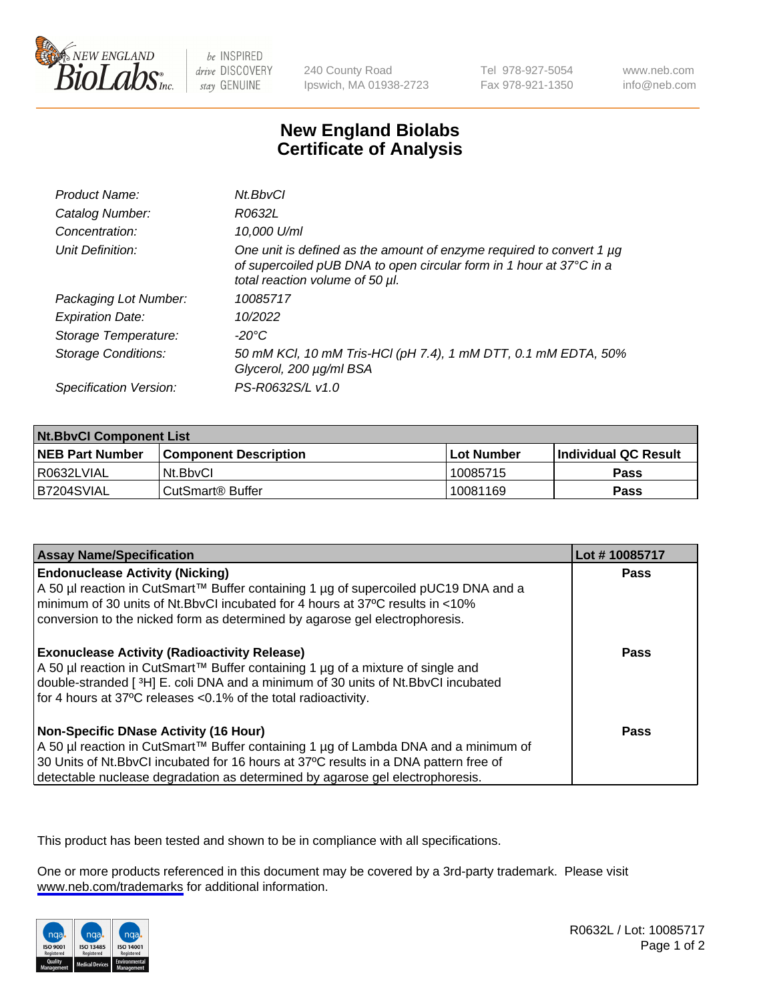

be INSPIRED drive DISCOVERY stay GENUINE

240 County Road Ipswich, MA 01938-2723 Tel 978-927-5054 Fax 978-921-1350

www.neb.com info@neb.com

## **New England Biolabs Certificate of Analysis**

| Product Name:              | Nt.BbvCl                                                                                                                                                                       |
|----------------------------|--------------------------------------------------------------------------------------------------------------------------------------------------------------------------------|
| Catalog Number:            | R0632L                                                                                                                                                                         |
| Concentration:             | 10,000 U/ml                                                                                                                                                                    |
| Unit Definition:           | One unit is defined as the amount of enzyme required to convert 1 µg<br>of supercoiled pUB DNA to open circular form in 1 hour at 37°C in a<br>total reaction volume of 50 µl. |
| Packaging Lot Number:      | 10085717                                                                                                                                                                       |
| <b>Expiration Date:</b>    | 10/2022                                                                                                                                                                        |
| Storage Temperature:       | $-20^{\circ}$ C                                                                                                                                                                |
| <b>Storage Conditions:</b> | 50 mM KCl, 10 mM Tris-HCl (pH 7.4), 1 mM DTT, 0.1 mM EDTA, 50%<br>Glycerol, 200 µg/ml BSA                                                                                      |
| Specification Version:     | PS-R0632S/L v1.0                                                                                                                                                               |

| <b>Nt.BbvCl Component List</b> |                              |            |                             |  |
|--------------------------------|------------------------------|------------|-----------------------------|--|
| <b>NEB Part Number</b>         | <b>Component Description</b> | Lot Number | <b>Individual QC Result</b> |  |
| I R0632LVIAL                   | Nt.BbvCl                     | 10085715   | Pass                        |  |
| IB7204SVIAL                    | CutSmart® Buffer             | 10081169   | <b>Pass</b>                 |  |

| <b>Assay Name/Specification</b>                                                                                                                                                                                                                                                                                | Lot #10085717 |
|----------------------------------------------------------------------------------------------------------------------------------------------------------------------------------------------------------------------------------------------------------------------------------------------------------------|---------------|
| <b>Endonuclease Activity (Nicking)</b><br>  A 50 µl reaction in CutSmart™ Buffer containing 1 µg of supercoiled pUC19 DNA and a<br>I minimum of 30 units of Nt.BbvCI incubated for 4 hours at 37°C results in <10%<br>conversion to the nicked form as determined by agarose gel electrophoresis.              | Pass          |
| <b>Exonuclease Activity (Radioactivity Release)</b><br>  A 50 µl reaction in CutSmart™ Buffer containing 1 µg of a mixture of single and<br>double-stranded [3H] E. coli DNA and a minimum of 30 units of Nt.BbvCl incubated<br>for 4 hours at 37°C releases <0.1% of the total radioactivity.                 | Pass          |
| <b>Non-Specific DNase Activity (16 Hour)</b><br>  A 50 µl reaction in CutSmart™ Buffer containing 1 µg of Lambda DNA and a minimum of<br>30 Units of Nt.BbvCl incubated for 16 hours at 37°C results in a DNA pattern free of<br>detectable nuclease degradation as determined by agarose gel electrophoresis. | Pass          |

This product has been tested and shown to be in compliance with all specifications.

One or more products referenced in this document may be covered by a 3rd-party trademark. Please visit <www.neb.com/trademarks>for additional information.